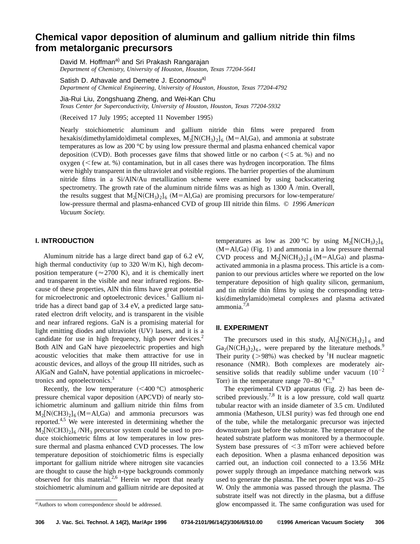# **Chemical vapor deposition of aluminum and gallium nitride thin films from metalorganic precursors**

David M. Hoffman<sup>a)</sup> and Sri Prakash Rangarajan *Department of Chemistry, University of Houston, Houston, Texas 77204-5641*

Satish D. Athavale and Demetre J. Economou<sup>a)</sup> *Department of Chemical Engineering, University of Houston, Houston, Texas 77204-4792*

Jia-Rui Liu, Zongshuang Zheng, and Wei-Kan Chu

*Texas Center for Superconductivity, University of Houston, Houston, Texas 77204-5932*

(Received 17 July 1995; accepted 11 November 1995)

Nearly stoichiometric aluminum and gallium nitride thin films were prepared from hexakis(dimethylamido)dimetal complexes,  $M_2[N(CH_3)_2]_6$  (M=Al,Ga), and ammonia at substrate temperatures as low as 200 °C by using low pressure thermal and plasma enhanced chemical vapor deposition (CVD). Both processes gave films that showed little or no carbon ( $\leq 5$  at. %) and no oxygen ( $\leq$  few at. %) contamination, but in all cases there was hydrogen incorporation. The films were highly transparent in the ultraviolet and visible regions. The barrier properties of the aluminum nitride films in a Si/AlN/Au metallization scheme were examined by using backscattering spectrometry. The growth rate of the aluminum nitride films was as high as  $1300 \text{ Å/min}$ . Overall, the results suggest that  $M_2[N(CH_3)_2]_6$  (M=Al,Ga) are promising precursors for low-temperature/ low-pressure thermal and plasma-enhanced CVD of group III nitride thin films. © *1996 American Vacuum Society.*

## **I. INTRODUCTION**

Aluminum nitride has a large direct band gap of 6.2 eV, high thermal conductivity (up to 320 W/m K), high decomposition temperature ( $\approx$  2700 K), and it is chemically inert and transparent in the visible and near infrared regions. Because of these properties, AlN thin films have great potential for microelectronic and optoelectronic devices.<sup>1</sup> Gallium nitride has a direct band gap of 3.4 eV, a predicted large saturated electron drift velocity, and is transparent in the visible and near infrared regions. GaN is a promising material for light emitting diodes and ultraviolet  $(UV)$  lasers, and it is a candidate for use in high frequency, high power devices.<sup>2</sup> Both AlN and GaN have piezoelectric properties and high acoustic velocities that make them attractive for use in acoustic devices, and alloys of the group III nitrides, such as AlGaN and GaInN, have potential applications in microelectronics and optoelectronics.3

Recently, the low temperature  $(<100 °C$  atmospheric pressure chemical vapor deposition (APCVD) of nearly stoichiometric aluminum and gallium nitride thin films from  $M_2[N(CH3)_2]_6 (M=A1, Ga)$  and ammonia precursors was reported.<sup>4,5</sup> We were interested in determining whether the  $M_2[N(CH3)_2]_6 / NH_3$  precursor system could be used to produce stoichiometric films at low temperatures in low pressure thermal and plasma enhanced CVD processes. The low temperature deposition of stoichiometric films is especially important for gallium nitride where nitrogen site vacancies are thought to cause the high *n*-type backgrounds commonly observed for this material. $2.6$  Herein we report that nearly stoichiometric aluminum and gallium nitride are deposited at temperatures as low as 200 °C by using  $M_2[N(CH_3)_2]_6$  $(M=Al,Ga)$  (Fig. 1) and ammonia in a low pressure thermal CVD process and  $M_2[N(CH_3)_2]_6(M=Al,Ga)$  and plasmaactivated ammonia in a plasma process. This article is a companion to our previous articles where we reported on the low temperature deposition of high quality silicon, germanium, and tin nitride thin films by using the corresponding tetrakis(dimethylamido)metal complexes and plasma activated ammonia.7,8

## **II. EXPERIMENT**

The precursors used in this study,  $Al_2[N(CH_3)_2]_6$  and  $Ga_2(N(CH_3)_2)_6$ , were prepared by the literature methods.<sup>9</sup> Their purity ( $> 98\%$ ) was checked by <sup>1</sup>H nuclear magnetic resonance (NMR). Both complexes are moderately airsensitive solids that readily sublime under vacuum  $(10^{-2}$ Torr) in the temperature range  $70-80$  °C.<sup>9</sup>

The experimental CVD apparatus (Fig. 2) has been described previously.<sup>7,8</sup> It is a low pressure, cold wall quartz tubular reactor with an inside diameter of 3.5 cm. Undiluted ammonia (Matheson, ULSI purity) was fed through one end of the tube, while the metalorganic precursor was injected downstream just before the substrate. The temperature of the heated substrate platform was monitored by a thermocouple. System base pressures of  $\leq$ 3 mTorr were achieved before each deposition. When a plasma enhanced deposition was carried out, an induction coil connected to a 13.56 MHz power supply through an impedance matching network was used to generate the plasma. The net power input was 20–25 W. Only the ammonia was passed through the plasma. The substrate itself was not directly in the plasma, but a diffuse glow encompassed it. The same configuration was used for <sup>a</sup>!

a)Authors to whom correspondence should be addressed.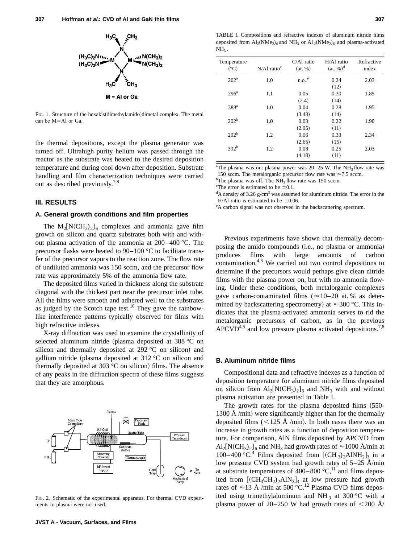

FIG. 1. Structure of the hexakis(dimethylamido)dimetal complex. The metal can be M=Al or Ga.

the thermal depositions, except the plasma generator was turned off. Ultrahigh purity helium was passed through the reactor as the substrate was heated to the desired deposition temperature and during cool down after deposition. Substrate handling and film characterization techniques were carried out as described previously.7,8

# **III. RESULTS**

## **A. General growth conditions and film properties**

The  $M_2[N(CH_3)_2]_6$  complexes and ammonia gave film growth on silicon and quartz substrates both with and without plasma activation of the ammonia at 200– 400 °C. The precursor flasks were heated to 90–100 °C to facilitate transfer of the precursor vapors to the reaction zone. The flow rate of undiluted ammonia was 150 sccm, and the precursor flow rate was approximately 5% of the ammonia flow rate.

The deposited films varied in thickness along the substrate diagonal with the thickest part near the precursor inlet tube. All the films were smooth and adhered well to the substrates as judged by the Scotch tape test.<sup>10</sup> They gave the rainbowlike interference patterns typically observed for films with high refractive indexes.

X-ray diffraction was used to examine the crystallinity of selected aluminum nitride (plasma deposited at 388  $^{\circ}$ C on silicon and thermally deposited at  $292 \degree C$  on silicon) and gallium nitride (plasma deposited at  $312 \degree C$  on silicon and thermally deposited at 303  $^{\circ}$ C on silicon) films. The absence of any peaks in the diffraction spectra of these films suggests that they are amorphous.



FIG. 2. Schematic of the experimental apparatus. For thermal CVD experiments to plasma were not used.

TABLE I. Compositions and refractive indexes of aluminum nitride films deposited from  $Al_2(NMe_2)_6$  and  $NH_3$  or  $Al_2(NMe_2)_6$  and plasma-activated  $NH<sub>3</sub>$ .

| Temperature<br>$({}^{\circ}C)$ | $N/A1$ ratio <sup>c</sup> | $C/A1$ ratio<br>(at. %) | H/Al ratio<br>(at, % <sup>d</sup> ) | Refractive<br>index |
|--------------------------------|---------------------------|-------------------------|-------------------------------------|---------------------|
| 202 <sup>a</sup>               | 1.0                       | $n.o.$ <sup>e</sup>     | 0.24                                | 2.03                |
|                                |                           |                         | (12)                                |                     |
| 296 <sup>a</sup>               | 1.1                       | 0.05                    | 0.30                                | 1.85                |
|                                |                           | (2.4)                   | (14)                                |                     |
| 388 <sup>a</sup>               | 1.0                       | 0.04                    | 0.28                                | 1.95                |
|                                |                           | (3.43)                  | (14)                                |                     |
| 202 <sup>b</sup>               | 1.0                       | 0.03                    | 0.22                                | 1.90                |
|                                |                           | (2.95)                  | (11)                                |                     |
| 292 <sup>b</sup>               | 1.2                       | 0.06                    | 0.33                                | 2.34                |
|                                |                           | (2.65)                  | (15)                                |                     |
| 392 <sup>b</sup>               | 1.2                       | 0.08                    | 0.25                                | 2.03                |
|                                |                           | (4.18)                  | (11)                                |                     |

<sup>a</sup>The plasma was on: plasma power was  $20-25$  W. The NH<sub>3</sub> flow rate was 150 sccm. The metalorganic precursor flow rate was  $\approx$  7.5 sccm.

<sup>b</sup>The plasma was off. The NH<sub>3</sub> flow rate was 150 sccm.

<sup>c</sup>The error is estimated to be  $\pm 0.1$ .

 $\rm ^d$ A density of 3.26 g/cm<sup>3</sup> was assumed for aluminum nitride. The error in the H/Al ratio is estimated to be  $\pm 0.06$ .

e A carbon signal was not observed in the backscattering spectrum.

Previous experiments have shown that thermally decomposing the amido compounds (i.e., no plasma or ammonia) produces films with large amounts of carbon contamination.<sup>4,5</sup> We carried out two control depositions to determine if the precursors would perhaps give clean nitride films with the plasma power on, but with no ammonia flowing. Under these conditions, both metalorganic complexes gave carbon-contaminated films ( $\approx$  10–20 at. % as determined by backscattering spectrometry) at  $\approx 300$  °C. This indicates that the plasma-activated ammonia serves to rid the metalorganic precursors of carbon, as in the previous  $APCVD<sup>4,5</sup>$  and low pressure plasma activated depositions.<sup>7,8</sup>

#### **B. Aluminum nitride films**

Compositional data and refractive indexes as a function of deposition temperature for aluminum nitride films deposited on silicon from  $Al_2[N(CH_3)_2]_6$  and NH<sub>3</sub> with and without plasma activation are presented in Table I.

The growth rates for the plasma deposited films  $(550-$ 1300 Å /min) were significantly higher than for the thermally deposited films  $(<125 \text{ Å } / \text{min})$ . In both cases there was an increase in growth rates as a function of deposition temperature. For comparison, AlN films deposited by APCVD from  $\text{Al}_2\text{[N(CH_3)_2]}_6$  and NH<sub>3</sub> had growth rates of  $\approx$  1000 Å/min at 100–400 °C.<sup>4</sup> Films deposited from  $[(CH_3)_2AINH_2]_3$  in a low pressure CVD system had growth rates of 5–25 Å/min at substrate temperatures of  $400-800$  °C,<sup>11</sup> and films deposited from  $[(CH_3CH_2)_2AlN_3]_3$  at low pressure had growth rates of  $\approx$  13 Å /min at 500 °C.<sup>12</sup> Plasma CVD films deposited using trimethylaluminum and NH<sub>3</sub> at 300 °C with a plasma power of 20–250 W had growth rates of  $\langle 200 \text{ Å} \rangle$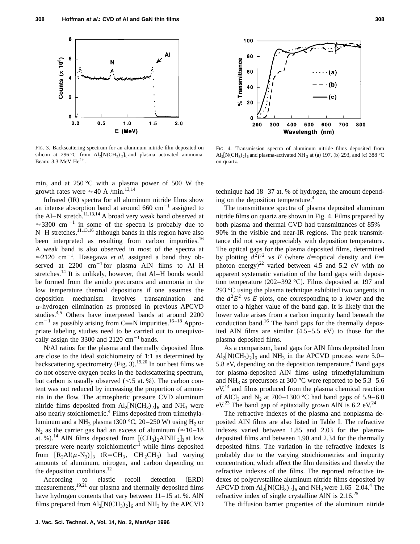

FIG. 3. Backscattering spectrum for an aluminum nitride film deposited on silicon at 296 °C from Al<sub>2</sub>[N(CH<sub>3</sub>) <sub>2</sub>]<sub>6</sub> and plasma activated ammonia. Beam: 3.3 MeV  $He^{2+}$ .

min, and at  $250^{\circ}$ C with a plasma power of 500 W the growth rates were  $\approx$  40 Å /min.<sup>13,14</sup>

Infrared  $(IR)$  spectra for all aluminum nitride films show an intense absorption band at around 660  $cm^{-1}$  assigned to the Al–N stretch.<sup>11,13,14</sup> A broad very weak band observed at  $\approx$ 3300 cm<sup>-1</sup> in some of the spectra is probably due to N–H stretches,  $^{11,13,16}$  although bands in this region have also been interpreted as resulting from carbon impurities.<sup>16</sup> A weak band is also observed in most of the spectra at  $\approx$ 2120 cm<sup>-1</sup>. Hasegawa *et al.* assigned a band they observed at  $2200 \text{ cm}^{-1}$  for plasma AlN films to Al–H stretches.<sup>14</sup> It is unlikely, however, that Al–H bonds would be formed from the amido precursors and ammonia in the low temperature thermal depositions if one assumes the deposition mechanism involves transamination and  $\alpha$ -hydrogen elimination as proposed in previous APCVD studies.<sup>4,5</sup> Others have interpreted bands at around 2200  $cm^{-1}$  as possibly arising from C $\equiv$ N impurities.<sup>16-18</sup> Appropriate labeling studies need to be carried out to unequivocally assign the 3300 and 2120  $\text{cm}^{-1}$  bands.

N/Al ratios for the plasma and thermally deposited films are close to the ideal stoichiometry of 1:1 as determined by backscattering spectrometry (Fig. 3).<sup>19,20</sup> In our best films we do not observe oxygen peaks in the backscattering spectrum, but carbon is usually observed  $(< 5$  at. %). The carbon content was not reduced by increasing the proportion of ammonia in the flow. The atmospheric pressure CVD aluminum nitride films deposited from  $Al_2[N(CH_3)_2]_6$  and NH<sub>3</sub> were also nearly stoichiometric.<sup>4</sup> Films deposited from trimethylaluminum and a NH<sub>3</sub> plasma  $(300 °C, 20-250 W)$  using H<sub>2</sub> or  $N_2$  as the carrier gas had an excess of aluminum ( $\approx$ 10–18 at. %).<sup>14</sup> AlN films deposited from  $[(CH_3)_2AINH_2]_3$  at low pressure were nearly stoichiometric $11$  while films deposited from  $[R_2Al(\mu-N_3)]_3$   $(R=CH_3, CH_2CH_3)$  had varying amounts of aluminum, nitrogen, and carbon depending on the deposition conditions. $^{12}$ 

According to elastic recoil detection (ERD) measurements,19,21 our plasma and thermally deposited films have hydrogen contents that vary between  $11-15$  at. %. AlN films prepared from  $\text{Al}_2\text{[N(CH}_3)_2]_6$  and  $\text{NH}_3$  by the APCVD



FIG. 4. Transmission spectra of aluminum nitride films deposited from  $\text{Al}_2\text{[N(CH}_3)_2\text{]}_6$  and plasma-activated NH  $_3$  at (a) 197, (b) 293, and (c) 388 °C on quartz.

technique had 18 –37 at. % of hydrogen, the amount depending on the deposition temperature.<sup>4</sup>

The transmittance spectra of plasma deposited aluminum nitride films on quartz are shown in Fig. 4. Films prepared by both plasma and thermal CVD had transmittances of 85%– 90% in the visible and near-IR regions. The peak transmittance did not vary appreciably with deposition temperature. The optical gaps for the plasma deposited films, determined by plotting  $d^2E^2$  vs *E* (where *d*=optical density and *E*= photon energy)<sup>22</sup> varied between 4.5 and 5.2 eV with no apparent systematic variation of the band gaps with deposition temperature  $(202-392 \degree C)$ . Films deposited at 197 and 293 °C using the plasma technique exhibited two tangents in the  $d^2E^2$  vs *E* plots, one corresponding to a lower and the other to a higher value of the band gap. It is likely that the lower value arises from a carbon impurity band beneath the conduction band.<sup>16</sup> The band gaps for the thermally deposited AlN films are similar  $(4.5-5.5 \text{ eV})$  to those for the plasma deposited films.

As a comparison, band gaps for AlN films deposited from  $\text{Al}_2\text{[N(CH_3)_2]}_6$  and  $\text{NH}_3$  in the APCVD process were 5.0– 5.8 eV, depending on the deposition temperature.<sup>4</sup> Band gaps for plasma-deposited AlN films using trimethylaluminum and NH<sub>3</sub> as precursors at 300 °C were reported to be  $5.3-5.6$  $eV<sub>14</sub>$  and films produced from the plasma chemical reaction of AlCl<sub>3</sub> and N<sub>2</sub> at 700–1300 °C had band gaps of 5.9–6.0  $eV^{23}$  The band gap of epitaxially grown AlN is 6.2 eV.<sup>24</sup>

The refractive indexes of the plasma and nonplasma deposited AlN films are also listed in Table I. The refractive indexes varied between 1.85 and 2.03 for the plasmadeposited films and between 1.90 and 2.34 for the thermally deposited films. The variation in the refractive indexes is probably due to the varying stoichiometries and impurity concentration, which affect the film densities and thereby the refractive indexes of the films. The reported refractive indexes of polycrystalline aluminum nitride films deposited by APCVD from  $Al_2[N(CH_3)_2]_6$  and NH<sub>3</sub> were 1.65–2.04.<sup>4</sup> The refractive index of single crystalline AlN is  $2.16^{25}$ 

The diffusion barrier properties of the aluminum nitride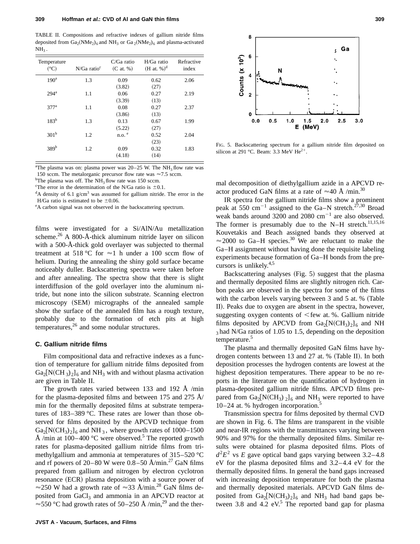TABLE II. Compositions and refractive indexes of gallium nitride films deposited from  $Ga_2(NMe_2)_6$  and  $NH_3$  or  $Ga_2(NMe_2)_6$  and plasma-activated  $NH<sub>3</sub>$ .

| Temperature<br>(°C) | $N/Ga$ ratio <sup>c</sup> | $C/Ga$ ratio<br>$(C \text{ at. } \%)$ | $H/Ga$ ratio<br>$(H at. %)^d$ | Refractive<br>index |
|---------------------|---------------------------|---------------------------------------|-------------------------------|---------------------|
| 190 <sup>a</sup>    | 1.3                       | 0.09                                  | 0.62                          | 2.06                |
|                     |                           | (3.82)                                | (27)                          |                     |
| 294 <sup>a</sup>    | 1.1                       | 0.06                                  | 0.27                          | 2.19                |
|                     |                           | (3.39)                                | (13)                          |                     |
| 377 <sup>a</sup>    | 1.1                       | 0.08                                  | 0.27                          | 2.37                |
|                     |                           | (3.86)                                | (13)                          |                     |
| $183^{b}$           | 1.3                       | 0.13                                  | 0.67                          | 1.99                |
|                     |                           | (5.22)                                | (27)                          |                     |
| 301 <sup>b</sup>    | 1.2                       | $n.o.$ <sup>e</sup>                   | 0.52                          | 2.04                |
|                     |                           |                                       | (23)                          |                     |
| 389 <sup>b</sup>    | 1.2                       | 0.09                                  | 0.32                          | 1.83                |
|                     |                           | (4.18)                                | (14)                          |                     |

<sup>a</sup>The plasma was on: plasma power was  $20-25$  W. The NH<sub>3</sub> flow rate was 150 sccm. The metalorganic precursor flow rate was  $\approx$  7.5 sccm.

<sup>b</sup>The plasma was off. The NH<sub>3</sub> flow rate was 150 sccm.<br><sup>c</sup>The error in the determination of the N/Ga ratio is  $\pm 0$ .

<sup>c</sup>The error in the determination of the N/Ga ratio is  $\pm 0.1$ .

 $\rm ^dA$  density of 6.1 g/cm<sup>3</sup> was assumed for gallium nitride. The error in the H/Ga ratio is estimated to be  $\pm 0.06$ .

e A carbon signal was not observed in the backscattering spectrum.

films were investigated for a Si/AlN/Au metallization scheme.<sup>26</sup> A 800-Å-thick aluminum nitride layer on silicon with a 500-Å-thick gold overlayer was subjected to thermal treatment at 518 °C for  $\approx$ 1 h under a 100 sccm flow of helium. During the annealing the shiny gold surface became noticeably duller. Backscattering spectra were taken before and after annealing. The spectra show that there is slight interdiffusion of the gold overlayer into the aluminum nitride, but none into the silicon substrate. Scanning electron microscopy (SEM) micrographs of the annealed sample show the surface of the annealed film has a rough texture, probably due to the formation of etch pits at high temperatures, $26$  and some nodular structures.

# **C. Gallium nitride films**

Film compositional data and refractive indexes as a function of temperature for gallium nitride films deposited from  $Ga_2[N(CH_3)_2]_6$  and NH<sub>3</sub> with and without plasma activation are given in Table II.

The growth rates varied between 133 and 192 Å /min for the plasma-deposited films and between 175 and 275  $\AA$ / min for the thermally deposited films at substrate temperatures of 183–389 °C. These rates are lower than those observed for films deposited by the APCVD technique from  $Ga_2[N(CH_3)_2]_6$  and NH<sub>3</sub>, where growth rates of 1000–1500 Å /min at  $100-400$  °C were observed.<sup>5</sup> The reported growth rates for plasma-deposited gallium nitride films from trimethylgallium and ammonia at temperatures of 315–520 °C and rf powers of  $20-80$  W were  $0.8-50$  Å/min.<sup>27</sup> GaN films prepared from gallium and nitrogen by electron cyclotron resonance (ECR) plasma deposition with a source power of  $\approx$  250 W had a growth rate of  $\approx$  33 Å/min.<sup>28</sup> GaN films deposited from GaCl<sub>3</sub> and ammonia in an APCVD reactor at  $\approx$  550 °C had growth rates of 50–250 Å /min,<sup>29</sup> and the ther-



FIG. 5. Backscattering spectrum for a gallium nitride film deposited on silicon at 291 °C. Beam: 3.3 MeV He<sup>2+</sup>.

mal decomposition of diethylgallium azide in a APCVD reactor produced GaN films at a rate of  $\approx 40 \text{ Å /min.}^{30}$ 

IR spectra for the gallium nitride films show a prominent peak at 550 cm<sup>-1</sup> assigned to the Ga–N stretch.<sup>27,30</sup> Broad weak bands around 3200 and 2080  $cm^{-1}$  are also observed. The former is presumably due to the N–H stretch.<sup>11,15,16</sup> Kouvetakis and Beach assigned bands they observed at  $\approx$  2000 to Ga–H species.<sup>30</sup> We are reluctant to make the Ga–H assignment without having done the requisite labeling experiments because formation of Ga–H bonds from the precursors is unlikely. $4,5$ 

Backscattering analyses  $(Fig. 5)$  suggest that the plasma and thermally deposited films are slightly nitrogen rich. Carbon peaks are observed in the spectra for some of the films with the carbon levels varying between  $3$  and  $5$  at. % (Table II). Peaks due to oxygen are absent in the spectra, however, suggesting oxygen contents of  $\leq$  few at. %. Gallium nitride films deposited by APCVD from  $Ga_2[N(CH_3)_2]_6$  and NH  $_3$  had N/Ga ratios of 1.05 to 1.5, depending on the deposition temperature.<sup>5</sup>

The plasma and thermally deposited GaN films have hydrogen contents between 13 and 27 at.  $%$  (Table II). In both deposition processes the hydrogen contents are lowest at the highest deposition temperatures. There appear to be no reports in the literature on the quantification of hydrogen in plasma-deposited gallium nitride films. APCVD films prepared from Ga<sub>2</sub>[N(CH<sub>3</sub>) <sub>2</sub>]<sub>6</sub> and NH<sub>3</sub> were reported to have 10–24 at. % hydrogen incorporation.<sup>5</sup>

Transmission spectra for films deposited by thermal CVD are shown in Fig. 6. The films are transparent in the visible and near-IR regions with the transmittances varying between 90% and 97% for the thermally deposited films. Similar results were obtained for plasma deposited films. Plots of  $d^2E^2$  vs *E* gave optical band gaps varying between 3.2–4.8 eV for the plasma deposited films and  $3.2-4.4$  eV for the thermally deposited films. In general the band gaps increased with increasing deposition temperature for both the plasma and thermally deposited materials. APCVD GaN films deposited from  $Ga_2[N(CH_3)_2]_6$  and NH<sub>3</sub> had band gaps between 3.8 and 4.2  $eV<sup>5</sup>$ . The reported band gap for plasma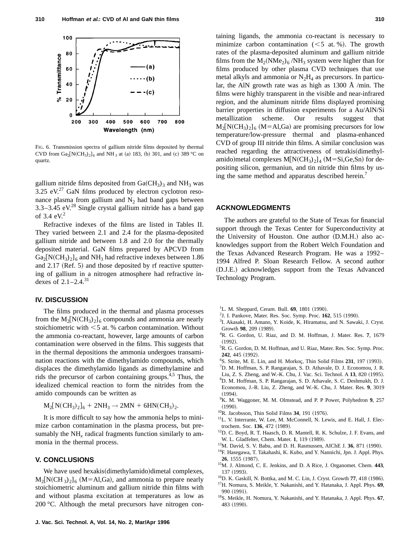

FIG. 6. Transmission spectra of gallium nitride films deposited by thermal CVD from  $Ga_2[N(CH_3)_2]_6$  and NH<sub>3</sub> at (a) 183, (b) 301, and (c) 389 °C on quartz.

gallium nitride films deposited from  $Ga(CH_3)_3$  and NH<sub>3</sub> was 3.25  $eV<sup>27</sup>$  GaN films produced by electron cyclotron resonance plasma from gallium and  $N_2$  had band gaps between  $3.3-3.45$  eV.<sup>28</sup> Single crystal gallium nitride has a band gap of 3.4  $eV<sup>2</sup>$ 

Refractive indexes of the films are listed in Tables II. They varied between 2.1 and 2.4 for the plasma-deposited gallium nitride and between 1.8 and 2.0 for the thermally deposited material. GaN films prepared by APCVD from  $Ga_2[N(CH_3)_2]_6$  and NH<sub>3</sub> had refractive indexes between 1.86 and  $2.17$  (Ref. 5) and those deposited by rf reactive sputtering of gallium in a nitrogen atmosphere had refractive indexes of  $2.1-2.4^{31}$ 

# **IV. DISCUSSION**

The films produced in the thermal and plasma processes from the  $M_2[N(CH_3)_2]_6$  compounds and ammonia are nearly stoichiometric with  $<$  5 at. % carbon contamination. Without the ammonia co-reactant, however, large amounts of carbon contamination were observed in the films. This suggests that in the thermal depositions the ammonia undergoes transamination reactions with the dimethylamido compounds, which displaces the dimethylamido ligands as dimethylamine and rids the precursor of carbon containing groups.4,5 Thus, the idealized chemical reaction to form the nitrides from the amido compounds can be written as

 $M_2[N(CH_3)_2]_6 + 2NH_3 \rightarrow 2MN + 6HN(CH_3)_2.$ 

It is more difficult to say how the ammonia helps to minimize carbon contamination in the plasma process, but presumably the  $NH<sub>x</sub>$  radical fragments function similarly to ammonia in the thermal process.

### **V. CONCLUSIONS**

We have used hexakis(dimethylamido)dimetal complexes,  $M_2[N(CH_3)_2]_6$  (M=Al,Ga), and ammonia to prepare nearly stoichiometric aluminum and gallium nitride thin films with and without plasma excitation at temperatures as low as 200 °C. Although the metal precursors have nitrogen containing ligands, the ammonia co-reactant is necessary to minimize carbon contamination  $(< 5$  at. %). The growth rates of the plasma-deposited aluminum and gallium nitride films from the  $M_2(NMe_2)_6/NH_3$  system were higher than for films produced by other plasma CVD techniques that use metal alkyls and ammonia or  $N_2H_4$  as precursors. In particular, the AlN growth rate was as high as 1300 Å /min. The films were highly transparent in the visible and near-infrared region, and the aluminum nitride films displayed promising barrier properties in diffusion experiments for a Au/AlN/Si metallization scheme. Our results suggest that  $M_2[N(CH_3)_2]_6$  (M=Al,Ga) are promising precursors for low temperature/low-pressure thermal and plasma-enhanced CVD of group III nitride thin films. A similar conclusion was reached regarding the attractiveness of tetrakis (dimethylamido)metal complexes  $M[N(CH_3)_2]_4$  (M=Si,Ge,Sn) for depositing silicon, germaniun, and tin nitride thin films by using the same method and apparatus described herein.<sup>7</sup>

## **ACKNOWLEDGMENTS**

The authors are grateful to the State of Texas for financial support through the Texas Center for Superconductivity at the University of Houston. One author  $(D.M.H.)$  also acknowledges support from the Robert Welch Foundation and the Texas Advanced Research Program. He was a 1992– 1994 Alfred P. Sloan Research Fellow. A second author ~D.J.E.! acknowledges support from the Texas Advanced Technology Program.

- <sup>1</sup>L. M. Sheppard, Ceram. Bull. 69, 1801 (1990).
- <sup>2</sup>J. I. Pankove, Mater. Res. Soc. Symp. Proc. 162, 515 (1990).
- <sup>3</sup>I. Akasaki, H. Amano, Y. Koide, K. Hiramatsu, and N. Sawaki, J. Cryst. Growth 98, 209 (1989).
- 4 R. G. Gordon, U. Riaz, and D. M. Hoffman, J. Mater. Res. **7**, 1679  $(1992).$
- <sup>5</sup>R. G. Gordon, D. M. Hoffman, and U. Riaz, Mater. Res. Soc. Symp. Proc. 242, 445 (1992).
- <sup>6</sup>S. Strite, M. E. Lin, and H. Morkoç, Thin Solid Films 231, 197 (1993).
- 7 D. M. Hoffman, S. P. Rangarajan, S. D. Athavale, D. J. Economou, J. R.
- Liu, Z. S. Zheng, and W.-K. Chu, J. Vac. Sci. Technol. A **13**, 820 (1995). 8 D. M. Hoffman, S. P. Rangarajan, S. D. Athavale, S. C. Deshmukh, D. J.
- Economou, J.-R. Liu, Z. Zheng, and W.-K. Chu, J. Mater. Res. **9**, 3019  $(1994).$
- 9 K. M. Waggoner, M. M. Olmstead, and P. P Power, Polyhedron **9**, 257  $(1990)$ .
- $10R$ . Jacobsson, Thin Solid Films 34, 191 (1976).
- 11L. V. Interrante, W. Lee, M. McConnell, N. Lewis, and E. Hall, J. Electrochem. Soc. 136, 472 (1989).
- <sup>12</sup>D. C. Boyd, R. T. Haasch, D. R. Mantell, R. K. Schulze, J. F. Evans, and W. L. Gladfelter, Chem. Mater. **1**, 119 (1989).
- <sup>13</sup>M. David, S. V. Babu, and D. H. Rasmussen, AIChE J. **36**, 871 (1990).
- <sup>14</sup>F. Hasegawa, T. Takahashi, K. Kubo, and Y. Nannichi, Jpn. J. Appl. Phys. **26**, 1555 (1987).
- 15M. J. Almond, C. E. Jenkins, and D. A Rice, J. Organomet. Chem. **443**, 137 (1993).
- <sup>16</sup>D. K. Gaskill, N. Bottka, and M. C. Lin, J. Cryst. Growth 77, 418 (1986).
- 17H. Nomura, S. Meikle, Y. Nakanishi, and Y. Hatanaka, J. Appl. Phys. **69**, 990 (1991).
- 18S. Meikle, H. Nomura, Y. Nakanishi, and Y. Hatanaka, J. Appl. Phys. **67**, 483 (1990).